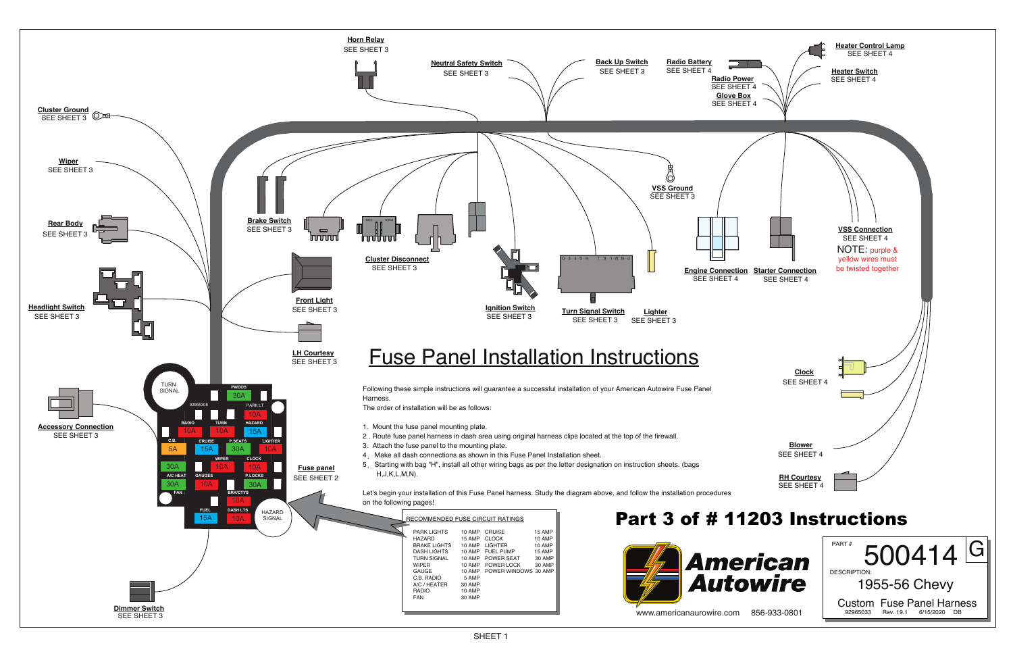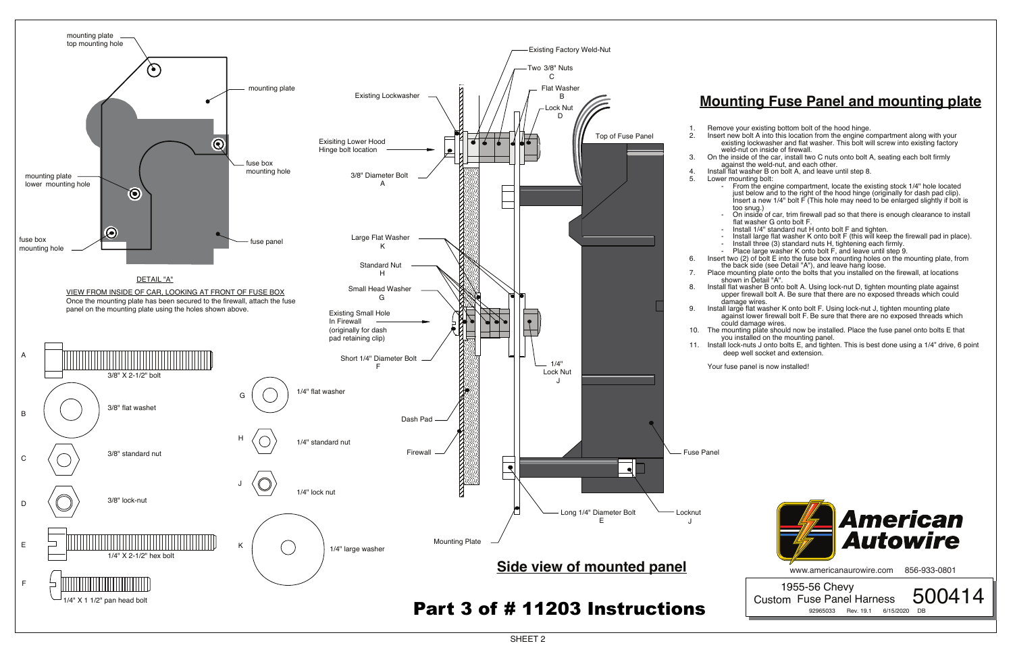## **Mounting Fuse Panel and mounting plate**

 1955-56 Chevy Custom Fuse Panel Harness 500414 92965033 Rev. 19.1 6/15/2020

1. Remove your existing bottom bolt of the hood hinge.

- On inside of car, trim firewall pad so that there is enough clearance to install flat washer G onto bolt F.

2. Insert new bolt A into this location from the engine compartment along with your existing lockwasher and flat washer. This bolt will screw into existing factory weld-nut on inside of firewall.

3. On the inside of the car, install two C nuts onto bolt A, seating each bolt firmly against the weld-nut, and each other.

4. Install flat washer B on bolt A, and leave until step 8.

- From the engine compartment, locate the existing stock 1/4" hole located just below and to the right of the hood hinge (originally for dash pad clip). Insert a new 1/4" bolt F (This hole may need to be enlarged slightly if bolt is too snug.)

- Install 1/4" standard nut H onto bolt F and tighten.

- Install large flat washer K onto bolt F (this will keep the firewall pad in place). - Install three (3) standard nuts H, tightening each firmly.

- Place large washer K onto bolt F, and leave until step 9.

6. Insert two (2) of bolt E into the fuse box mounting holes on the mounting plate, from the back side (see Detail "A"), and leave hang loose.



7. Place mounting plate onto the bolts that you installed on the firewall, at locations shown in Detail "A".

8. Install flat washer B onto bolt A. Using lock-nut D, tighten mounting plate against upper firewall bolt A. Be sure that there are no exposed threads which could

9. Install large flat washer K onto bolt F. Using lock-nut J, tighten mounting plate against lower firewall bolt F. Be sure that there are no exposed threads which could damage wires.

10. The mounting plate should now be installed. Place the fuse panel onto bolts E that you installed on the mounting panel.

11. Install lock-nuts J onto bolts E, and tighten. This is best done using a 1/4" drive, 6 point deep well socket and extension.



www.americanaurowire.com 856-933-0801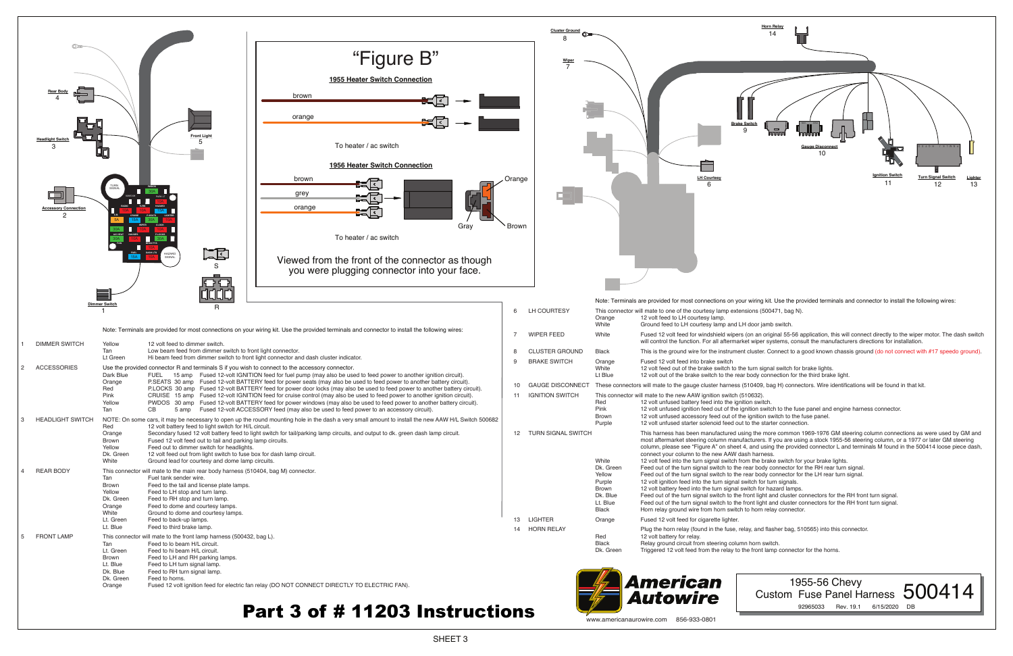SHEET 3

LH Courtes 6





- 12 volt out of the brake switch to the rear body connection for the third brake light.
- 10 GAUGE DISCONNECT These connectors will mate to the gauge cluster harness (510409, bag H) connectors. Wire identifications will be found in that kit.
	-
	-
	- 12 volt unfused ignition feed out of the ignition switch to the fuse panel and engine harness connector.
	- Brown 12 volt unfused accessory feed out of the ignition switch to the fuse panel.
		-

Note: Terminals are provided for most connections on your wiring kit. Use the provided terminals and connector to install the following wires:

7 WIPER FEED White Fused 12 volt feed for windshield wipers (on an original 55-56 application, this will connect directly to the wiper motor. The dash switch will control the function. For all aftermarket wiper systems, consult the manufacturers directions for installation.

8 CLUSTER GROUND Black This is the ground wire for the instrument cluster. Connect to a good known chassis ground (do not connect with #17 speedo ground).

12 TURN SIGNAL SWITCH This harness has been manufactured using the more common 1969-1976 GM steering column connections as were used by GM and most aftermarket steering column manufacturers. If you are using a stock 1955-56 steering column, or a 1977 or later GM steering column, please see "Figure A" on sheet 4, and using the provided connector L and terminals M found in the 500414 loose piece dash,

- 
- Feed out of the turn signal switch to the rear body connector for the RH rear turn signal.
	-
- 12 volt ignition feed into the turn signal switch for turn signals.
	-
- Feed out of the turn signal switch to the front light and cluster connectors for the RH front turn signal.
	-
- Horn relay ground wire from horn switch to horn relay connector.

Triggered 12 volt feed from the relay to the front lamp connector for the horns.

## 1955-56 Chevy Custom Fuse Panel Harness 500414



92965033 Rev. 19.1 6/15/2020 DB

## Part 3 of # 11203 Instructions